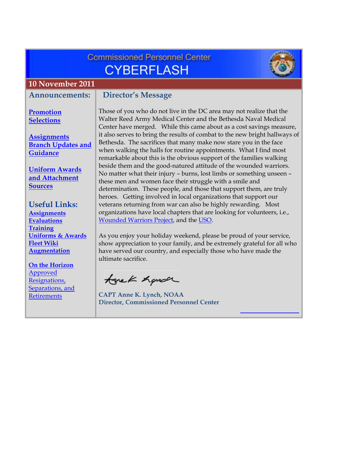<span id="page-0-0"></span>

| <b>Commissioned Personnel Center</b><br><b>CYBERFLASH</b>                                         |                                                                                                                                                                                                                                                                                                                                                    |  |  |  |  |
|---------------------------------------------------------------------------------------------------|----------------------------------------------------------------------------------------------------------------------------------------------------------------------------------------------------------------------------------------------------------------------------------------------------------------------------------------------------|--|--|--|--|
| <b>10 November 2011</b>                                                                           |                                                                                                                                                                                                                                                                                                                                                    |  |  |  |  |
| <b>Announcements:</b>                                                                             | <b>Director's Message</b>                                                                                                                                                                                                                                                                                                                          |  |  |  |  |
| Promotion<br><b>Selections</b>                                                                    | Those of you who do not live in the DC area may not realize that the<br>Walter Reed Army Medical Center and the Bethesda Naval Medical<br>Center have merged. While this came about as a cost savings measure,                                                                                                                                     |  |  |  |  |
| <b>Assignments</b><br><b>Branch Updates and</b><br>Guidance                                       | it also serves to bring the results of combat to the new bright hallways of<br>Bethesda. The sacrifices that many make now stare you in the face<br>when walking the halls for routine appointments. What I find most<br>remarkable about this is the obvious support of the families walking                                                      |  |  |  |  |
| <b>Uniform Awards</b><br>and Attachment<br><b>Sources</b>                                         | beside them and the good-natured attitude of the wounded warriors.<br>No matter what their injury - burns, lost limbs or something unseen -<br>these men and women face their struggle with a smile and<br>determination. These people, and those that support them, are truly<br>heroes. Getting involved in local organizations that support our |  |  |  |  |
| <b>Useful Links:</b><br><b>Assignments</b><br><b>Evaluations</b><br>Training                      | veterans returning from war can also be highly rewarding. Most<br>organizations have local chapters that are looking for volunteers, i.e.,<br>Wounded Warriors Project, and the USO.                                                                                                                                                               |  |  |  |  |
| <b>Uniforms &amp; Awards</b><br><b>Fleet Wiki</b><br><b>Augmentation</b><br><b>On the Horizon</b> | As you enjoy your holiday weekend, please be proud of your service,<br>show appreciation to your family, and be extremely grateful for all who<br>have served our country, and especially those who have made the<br>ultimate sacrifice.                                                                                                           |  |  |  |  |
| <b>Approved</b><br>Resignations,<br>Separations, and<br><b>Retirements</b>                        | tonek hande<br><b>CAPT Anne K. Lynch, NOAA</b><br><b>Director, Commissioned Personnel Center</b>                                                                                                                                                                                                                                                   |  |  |  |  |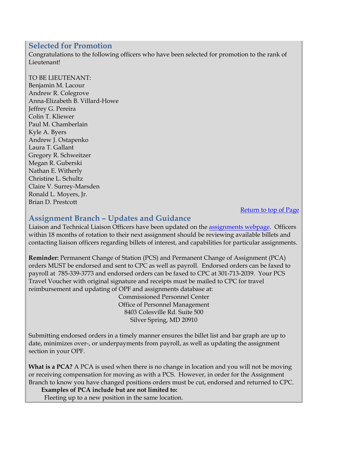## <span id="page-1-0"></span>**Selected for Promotion**

Congratulations to the following officers who have been selected for promotion to the rank of Lieutenant!

### TO BE LIEUTENANT:

Benjamin M. Lacour Andrew R. Colegrove Anna-Elizabeth B. Villard-Howe Jeffrey G. Pereira Colin T. Kliewer Paul M. Chamberlain Kyle A. Byers Andrew J. Ostapenko Laura T. Gallant Gregory R. Schweitzer Megan R. Guberski Nathan E. Witherly Christine L. Schultz Claire V. Surrey-Marsden Ronald L. Moyers, Jr. Brian D. Prestcott

### [Return to top of Page](#page-0-0)

# **Assignment Branch – Updates and Guidance**

Liaison and Technical Liaison Officers have been updated on the assignments webpage. Officers within 18 months of rotation to their next assignment should be reviewing available billets and contacting liaison officers regarding billets of interest, and capabilities for particular assignments.

**Reminder:** Permanent Change of Station (PCS) and Permanent Change of Assignment (PCA) orders MUST be endorsed and sent to CPC as well as payroll. Endorsed orders can be faxed to payroll at 785-339-3773 and endorsed orders can be faxed to CPC at 301-713-2039. Your PCS Travel Voucher with original signature and receipts must be mailed to CPC for travel reimbursement and updating of OPF and assignments database at:

> Commissioned Personnel Center Office of Personnel Management 8403 Colesville Rd. Suite 500 Silver Spring, MD 20910

Submitting endorsed orders in a timely manner ensures the billet list and bar graph are up to date, minimizes over-, or underpayments from payroll, as well as updating the assignment section in your OPF.

**What is a PCA?** A PCA is used when there is no change in location and you will not be moving or receiving compensation for moving as with a PCS. However, in order for the Assignment Branch to know you have changed positions orders must be cut, endorsed and returned to CPC.

**Examples of PCA include but are not limited to:** 

Fleeting up to a new position in the same location.